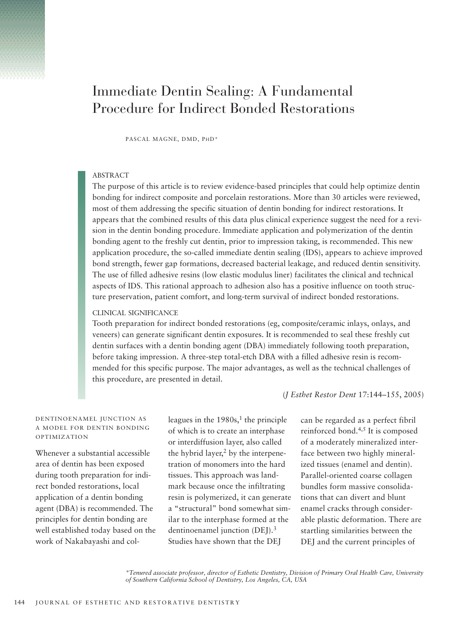# Immediate Dentin Sealing: A Fundamental Procedure for Indirect Bonded Restorations

PASCAL MAGNE, DMD, PHD\*

#### ABSTRACT

The purpose of this article is to review evidence-based principles that could help optimize dentin bonding for indirect composite and porcelain restorations. More than 30 articles were reviewed, most of them addressing the specific situation of dentin bonding for indirect restorations. It appears that the combined results of this data plus clinical experience suggest the need for a revision in the dentin bonding procedure. Immediate application and polymerization of the dentin bonding agent to the freshly cut dentin, prior to impression taking, is recommended. This new application procedure, the so-called immediate dentin sealing (IDS), appears to achieve improved bond strength, fewer gap formations, decreased bacterial leakage, and reduced dentin sensitivity. The use of filled adhesive resins (low elastic modulus liner) facilitates the clinical and technical aspects of IDS. This rational approach to adhesion also has a positive influence on tooth structure preservation, patient comfort, and long-term survival of indirect bonded restorations.

#### CLINICAL SIGNIFICANCE

Tooth preparation for indirect bonded restorations (eg, composite/ceramic inlays, onlays, and veneers) can generate significant dentin exposures. It is recommended to seal these freshly cut dentin surfaces with a dentin bonding agent (DBA) immediately following tooth preparation, before taking impression. A three-step total-etch DBA with a filled adhesive resin is recommended for this specific purpose. The major advantages, as well as the technical challenges of this procedure, are presented in detail.

#### (*J Esthet Restor Dent* 17:144–155, 2005)

#### DENTINOENAMEL JUNCTION AS A MODEL FOR DENTIN BONDING OPTIMIZATION

Whenever a substantial accessible area of dentin has been exposed during tooth preparation for indirect bonded restorations, local application of a dentin bonding agent (DBA) is recommended. The principles for dentin bonding are well established today based on the work of Nakabayashi and colleagues in the  $1980s$ ,<sup>1</sup> the principle of which is to create an interphase or interdiffusion layer, also called the hybrid layer, $2$  by the interpenetration of monomers into the hard tissues. This approach was landmark because once the infiltrating resin is polymerized, it can generate a "structural" bond somewhat similar to the interphase formed at the dentinoenamel junction (DEJ).<sup>3</sup> Studies have shown that the DEJ

can be regarded as a perfect fibril reinforced bond.4,5 It is composed of a moderately mineralized interface between two highly mineralized tissues (enamel and dentin). Parallel-oriented coarse collagen bundles form massive consolidations that can divert and blunt enamel cracks through considerable plastic deformation. There are startling similarities between the DEJ and the current principles of

*\*Tenured associate professor, director of Esthetic Dentistry, Division of Primary Oral Health Care, University of Southern California School of Dentistry, Los Angeles, CA, USA*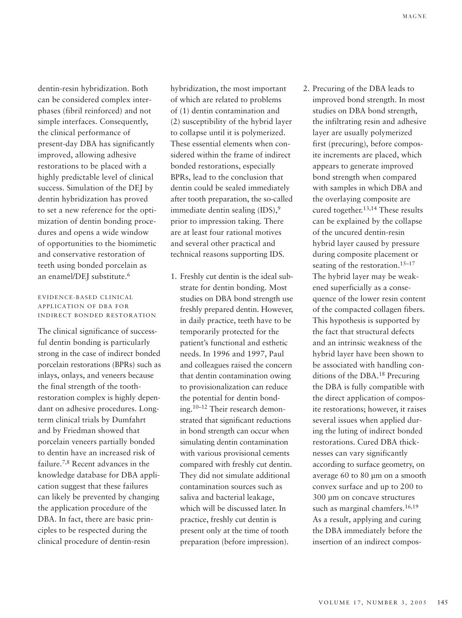dentin-resin hybridization. Both can be considered complex interphases (fibril reinforced) and not simple interfaces. Consequently, the clinical performance of present-day DBA has significantly improved, allowing adhesive restorations to be placed with a highly predictable level of clinical success. Simulation of the DEJ by dentin hybridization has proved to set a new reference for the optimization of dentin bonding procedures and opens a wide window of opportunities to the biomimetic and conservative restoration of teeth using bonded porcelain as an enamel/DEJ substitute.<sup>6</sup>

# EVIDENCE-BASED CLINICAL APPLICATION OF DBA FOR INDIRECT BONDED RESTORATION

The clinical significance of successful dentin bonding is particularly strong in the case of indirect bonded porcelain restorations (BPRs) such as inlays, onlays, and veneers because the final strength of the toothrestoration complex is highly dependant on adhesive procedures. Longterm clinical trials by Dumfahrt and by Friedman showed that porcelain veneers partially bonded to dentin have an increased risk of failure.7,8 Recent advances in the knowledge database for DBA application suggest that these failures can likely be prevented by changing the application procedure of the DBA. In fact, there are basic principles to be respected during the clinical procedure of dentin-resin

hybridization, the most important of which are related to problems of (1) dentin contamination and (2) susceptibility of the hybrid layer to collapse until it is polymerized. These essential elements when considered within the frame of indirect bonded restorations, especially BPRs, lead to the conclusion that dentin could be sealed immediately after tooth preparation, the so-called immediate dentin sealing  $(IDS<sup>9</sup>$ , prior to impression taking. There are at least four rational motives and several other practical and technical reasons supporting IDS.

- 1. Freshly cut dentin is the ideal substrate for dentin bonding. Most studies on DBA bond strength use freshly prepared dentin. However, in daily practice, teeth have to be temporarily protected for the patient's functional and esthetic needs. In 1996 and 1997, Paul and colleagues raised the concern that dentin contamination owing to provisionalization can reduce the potential for dentin bonding.10–12 Their research demonstrated that significant reductions in bond strength can occur when simulating dentin contamination with various provisional cements compared with freshly cut dentin. They did not simulate additional contamination sources such as saliva and bacterial leakage, which will be discussed later. In practice, freshly cut dentin is present only at the time of tooth preparation (before impression).
- 2. Precuring of the DBA leads to improved bond strength. In most studies on DBA bond strength, the infiltrating resin and adhesive layer are usually polymerized first (precuring), before composite increments are placed, which appears to generate improved bond strength when compared with samples in which DBA and the overlaying composite are cured together.<sup>13,14</sup> These results can be explained by the collapse of the uncured dentin-resin hybrid layer caused by pressure during composite placement or seating of the restoration.<sup>15–17</sup> The hybrid layer may be weakened superficially as a consequence of the lower resin content of the compacted collagen fibers. This hypothesis is supported by the fact that structural defects and an intrinsic weakness of the hybrid layer have been shown to be associated with handling conditions of the DBA.<sup>18</sup> Precuring the DBA is fully compatible with the direct application of composite restorations; however, it raises several issues when applied during the luting of indirect bonded restorations. Cured DBA thicknesses can vary significantly according to surface geometry, on average 60 to 80 µm on a smooth convex surface and up to 200 to 300 µm on concave structures such as marginal chamfers. $16,19$ As a result, applying and curing the DBA immediately before the insertion of an indirect compos-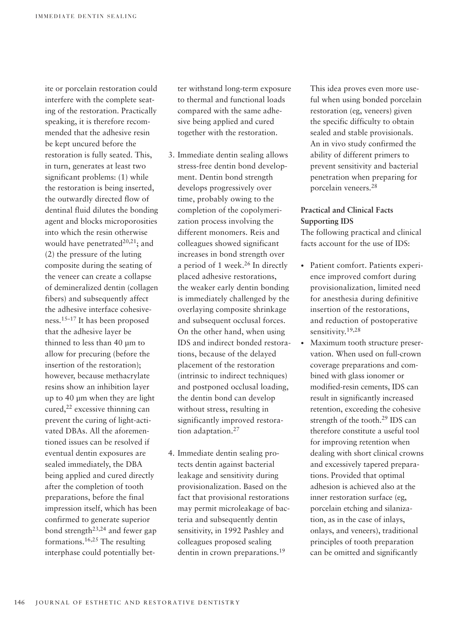ite or porcelain restoration could interfere with the complete seating of the restoration. Practically speaking, it is therefore recommended that the adhesive resin be kept uncured before the restoration is fully seated. This, in turn, generates at least two significant problems: (1) while the restoration is being inserted, the outwardly directed flow of dentinal fluid dilutes the bonding agent and blocks microporosities into which the resin otherwise would have penetrated $20,21$ ; and (2) the pressure of the luting composite during the seating of the veneer can create a collapse of demineralized dentin (collagen fibers) and subsequently affect the adhesive interface cohesiveness.15–17 It has been proposed that the adhesive layer be thinned to less than 40 µm to allow for precuring (before the insertion of the restoration); however, because methacrylate resins show an inhibition layer up to 40 µm when they are light cured,<sup>22</sup> excessive thinning can prevent the curing of light-activated DBAs. All the aforementioned issues can be resolved if eventual dentin exposures are sealed immediately, the DBA being applied and cured directly after the completion of tooth preparations, before the final impression itself, which has been confirmed to generate superior bond strength<sup>23,24</sup> and fewer gap formations.16,25 The resulting interphase could potentially better withstand long-term exposure to thermal and functional loads compared with the same adhesive being applied and cured together with the restoration.

- 3. Immediate dentin sealing allows stress-free dentin bond development. Dentin bond strength develops progressively over time, probably owing to the completion of the copolymerization process involving the different monomers. Reis and colleagues showed significant increases in bond strength over a period of 1 week.<sup>26</sup> In directly placed adhesive restorations, the weaker early dentin bonding is immediately challenged by the overlaying composite shrinkage and subsequent occlusal forces. On the other hand, when using IDS and indirect bonded restorations, because of the delayed placement of the restoration (intrinsic to indirect techniques) and postponed occlusal loading, the dentin bond can develop without stress, resulting in significantly improved restoration adaptation.<sup>27</sup>
- 4. Immediate dentin sealing protects dentin against bacterial leakage and sensitivity during provisionalization. Based on the fact that provisional restorations may permit microleakage of bacteria and subsequently dentin sensitivity, in 1992 Pashley and colleagues proposed sealing dentin in crown preparations.<sup>19</sup>

This idea proves even more useful when using bonded porcelain restoration (eg, veneers) given the specific difficulty to obtain sealed and stable provisionals. An in vivo study confirmed the ability of different primers to prevent sensitivity and bacterial penetration when preparing for porcelain veneers.28

# **Practical and Clinical Facts Supporting IDS**

The following practical and clinical facts account for the use of IDS:

- Patient comfort. Patients experience improved comfort during provisionalization, limited need for anesthesia during definitive insertion of the restorations, and reduction of postoperative sensitivity.<sup>19,28</sup>
- Maximum tooth structure preservation. When used on full-crown coverage preparations and combined with glass ionomer or modified-resin cements, IDS can result in significantly increased retention, exceeding the cohesive strength of the tooth.29 IDS can therefore constitute a useful tool for improving retention when dealing with short clinical crowns and excessively tapered preparations. Provided that optimal adhesion is achieved also at the inner restoration surface (eg, porcelain etching and silanization, as in the case of inlays, onlays, and veneers), traditional principles of tooth preparation can be omitted and significantly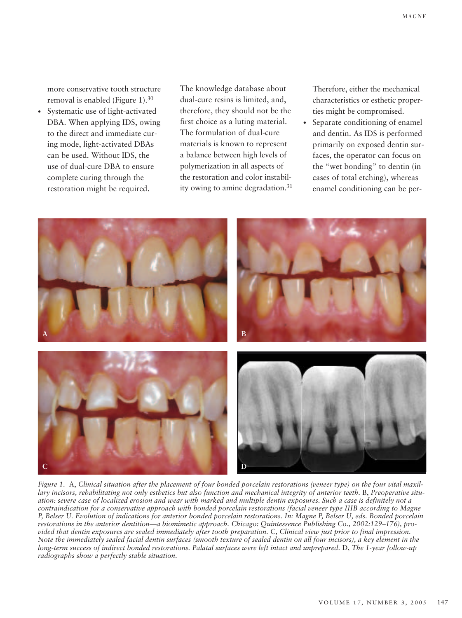more conservative tooth structure removal is enabled (Figure 1).30

• Systematic use of light-activated DBA. When applying IDS, owing to the direct and immediate curing mode, light-activated DBAs can be used. Without IDS, the use of dual-cure DBA to ensure complete curing through the restoration might be required.

The knowledge database about dual-cure resins is limited, and, therefore, they should not be the first choice as a luting material. The formulation of dual-cure materials is known to represent a balance between high levels of polymerization in all aspects of the restoration and color instability owing to amine degradation.<sup>31</sup> Therefore, either the mechanical characteristics or esthetic properties might be compromised.

• Separate conditioning of enamel and dentin. As IDS is performed primarily on exposed dentin surfaces, the operator can focus on the "wet bonding" to dentin (in cases of total etching), whereas enamel conditioning can be per-



*Figure 1.* A, *Clinical situation after the placement of four bonded porcelain restorations (veneer type) on the four vital maxil*lary incisors, rehabilitating not only esthetics but also function and mechanical integrity of anterior teeth. B, Preoperative situ*ation: severe case of localized erosion and wear with marked and multiple dentin exposures. Such a case is definitely not a contraindication for a conservative approach with bonded porcelain restorations (facial veneer type IIIB according to Magne P, Belser U. Evolution of indications for anterior bonded porcelain restorations. In: Magne P, Belser U, eds. Bonded porcelain restorations in the anterior dentition—a biomimetic approach. Chicago: Quintessence Publishing Co., 2002:129–176), provided that dentin exposures are sealed immediately after tooth preparation.* C, *Clinical view just prior to final impression. Note the immediately sealed facial dentin surfaces (smooth texture of sealed dentin on all four incisors), a key element in the long-term success of indirect bonded restorations. Palatal surfaces were left intact and unprepared.* D, *The 1-year follow-up radiographs show a perfectly stable situation.*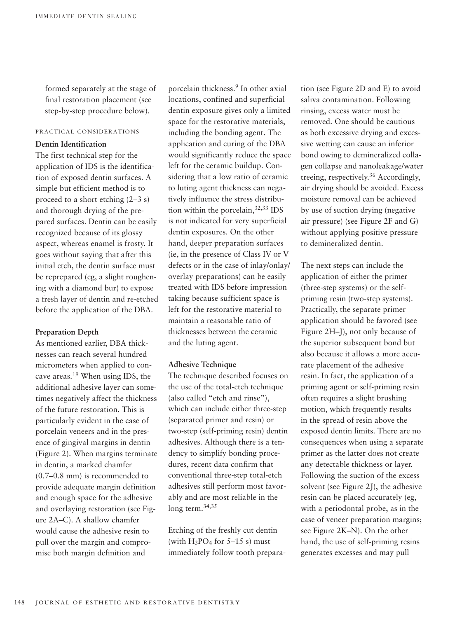formed separately at the stage of final restoration placement (see step-by-step procedure below).

# PRACTICAL CONSIDERATIONS

## **Dentin Identification**

The first technical step for the application of IDS is the identification of exposed dentin surfaces. A simple but efficient method is to proceed to a short etching (2–3 s) and thorough drying of the prepared surfaces. Dentin can be easily recognized because of its glossy aspect, whereas enamel is frosty. It goes without saying that after this initial etch, the dentin surface must be reprepared (eg, a slight roughening with a diamond bur) to expose a fresh layer of dentin and re-etched before the application of the DBA.

#### **Preparation Depth**

As mentioned earlier, DBA thicknesses can reach several hundred micrometers when applied to concave areas.<sup>19</sup> When using IDS, the additional adhesive layer can sometimes negatively affect the thickness of the future restoration. This is particularly evident in the case of porcelain veneers and in the presence of gingival margins in dentin (Figure 2). When margins terminate in dentin, a marked chamfer (0.7–0.8 mm) is recommended to provide adequate margin definition and enough space for the adhesive and overlaying restoration (see Figure 2A–C). A shallow chamfer would cause the adhesive resin to pull over the margin and compromise both margin definition and

porcelain thickness.9 In other axial locations, confined and superficial dentin exposure gives only a limited space for the restorative materials, including the bonding agent. The application and curing of the DBA would significantly reduce the space left for the ceramic buildup. Considering that a low ratio of ceramic to luting agent thickness can negatively influence the stress distribution within the porcelain,  $32,33$  IDS is not indicated for very superficial dentin exposures. On the other hand, deeper preparation surfaces (ie, in the presence of Class IV or V defects or in the case of inlay/onlay/ overlay preparations) can be easily treated with IDS before impression taking because sufficient space is left for the restorative material to maintain a reasonable ratio of thicknesses between the ceramic and the luting agent.

## **Adhesive Technique**

The technique described focuses on the use of the total-etch technique (also called "etch and rinse"), which can include either three-step (separated primer and resin) or two-step (self-priming resin) dentin adhesives. Although there is a tendency to simplify bonding procedures, recent data confirm that conventional three-step total-etch adhesives still perform most favorably and are most reliable in the long term.<sup>34,35</sup>

Etching of the freshly cut dentin (with  $H_3PO_4$  for 5–15 s) must immediately follow tooth preparation (see Figure 2D and E) to avoid saliva contamination. Following rinsing, excess water must be removed. One should be cautious as both excessive drying and excessive wetting can cause an inferior bond owing to demineralized collagen collapse and nanoleakage/water treeing, respectively.36 Accordingly, air drying should be avoided. Excess moisture removal can be achieved by use of suction drying (negative air pressure) (see Figure 2F and G) without applying positive pressure to demineralized dentin.

The next steps can include the application of either the primer (three-step systems) or the selfpriming resin (two-step systems). Practically, the separate primer application should be favored (see Figure 2H–J), not only because of the superior subsequent bond but also because it allows a more accurate placement of the adhesive resin. In fact, the application of a priming agent or self-priming resin often requires a slight brushing motion, which frequently results in the spread of resin above the exposed dentin limits. There are no consequences when using a separate primer as the latter does not create any detectable thickness or layer. Following the suction of the excess solvent (see Figure 2J), the adhesive resin can be placed accurately (eg, with a periodontal probe, as in the case of veneer preparation margins; see Figure 2K–N). On the other hand, the use of self-priming resins generates excesses and may pull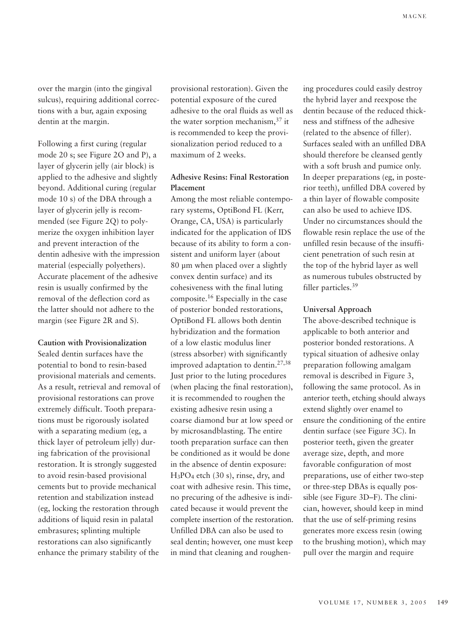over the margin (into the gingival sulcus), requiring additional corrections with a bur, again exposing dentin at the margin.

Following a first curing (regular mode 20 s; see Figure 2O and P), a layer of glycerin jelly (air block) is applied to the adhesive and slightly beyond. Additional curing (regular mode 10 s) of the DBA through a layer of glycerin jelly is recommended (see Figure 2Q) to polymerize the oxygen inhibition layer and prevent interaction of the dentin adhesive with the impression material (especially polyethers). Accurate placement of the adhesive resin is usually confirmed by the removal of the deflection cord as the latter should not adhere to the margin (see Figure 2R and S).

#### **Caution with Provisionalization**

Sealed dentin surfaces have the potential to bond to resin-based provisional materials and cements. As a result, retrieval and removal of provisional restorations can prove extremely difficult. Tooth preparations must be rigorously isolated with a separating medium (eg, a thick layer of petroleum jelly) during fabrication of the provisional restoration. It is strongly suggested to avoid resin-based provisional cements but to provide mechanical retention and stabilization instead (eg, locking the restoration through additions of liquid resin in palatal embrasures; splinting multiple restorations can also significantly enhance the primary stability of the

provisional restoration). Given the potential exposure of the cured adhesive to the oral fluids as well as the water sorption mechanism,37 it is recommended to keep the provisionalization period reduced to a maximum of 2 weeks.

# **Adhesive Resins: Final Restoration Placement**

Among the most reliable contemporary systems, OptiBond FL (Kerr, Orange, CA, USA) is particularly indicated for the application of IDS because of its ability to form a consistent and uniform layer (about 80 µm when placed over a slightly convex dentin surface) and its cohesiveness with the final luting composite.<sup>16</sup> Especially in the case of posterior bonded restorations, OptiBond FL allows both dentin hybridization and the formation of a low elastic modulus liner (stress absorber) with significantly improved adaptation to dentin.27,38 Just prior to the luting procedures (when placing the final restoration), it is recommended to roughen the existing adhesive resin using a coarse diamond bur at low speed or by microsandblasting. The entire tooth preparation surface can then be conditioned as it would be done in the absence of dentin exposure: H3PO4 etch (30 s), rinse, dry, and coat with adhesive resin. This time, no precuring of the adhesive is indicated because it would prevent the complete insertion of the restoration. Unfilled DBA can also be used to seal dentin; however, one must keep in mind that cleaning and roughening procedures could easily destroy the hybrid layer and reexpose the dentin because of the reduced thickness and stiffness of the adhesive (related to the absence of filler). Surfaces sealed with an unfilled DBA should therefore be cleansed gently with a soft brush and pumice only. In deeper preparations (eg, in posterior teeth), unfilled DBA covered by a thin layer of flowable composite can also be used to achieve IDS. Under no circumstances should the flowable resin replace the use of the unfilled resin because of the insufficient penetration of such resin at the top of the hybrid layer as well as numerous tubules obstructed by filler particles.39

#### **Universal Approach**

The above-described technique is applicable to both anterior and posterior bonded restorations. A typical situation of adhesive onlay preparation following amalgam removal is described in Figure 3, following the same protocol. As in anterior teeth, etching should always extend slightly over enamel to ensure the conditioning of the entire dentin surface (see Figure 3C). In posterior teeth, given the greater average size, depth, and more favorable configuration of most preparations, use of either two-step or three-step DBAs is equally possible (see Figure 3D–F). The clinician, however, should keep in mind that the use of self-priming resins generates more excess resin (owing to the brushing motion), which may pull over the margin and require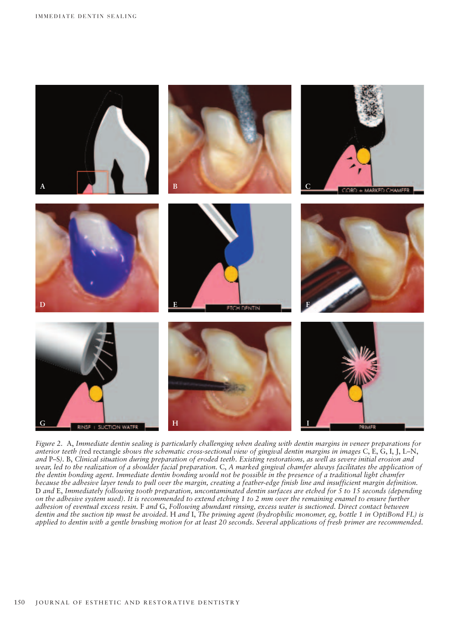

*Figure 2.* A, *Immediate dentin sealing is particularly challenging when dealing with dentin margins in veneer preparations for anterior teeth (*red rectangle *shows the schematic cross-sectional view of gingival dentin margins in images* C, E, G, I, J, L–N, *and* P–S*).* B, *Clinical situation during preparation of eroded teeth. Existing restorations, as well as severe initial erosion and wear, led to the realization of a shoulder facial preparation.* C, *A marked gingival chamfer always facilitates the application of the dentin bonding agent. Immediate dentin bonding would not be possible in the presence of a traditional light chamfer because the adhesive layer tends to pull over the margin, creating a feather-edge finish line and insufficient margin definition.* D *and* E, *Immediately following tooth preparation, uncontaminated dentin surfaces are etched for 5 to 15 seconds (depending on the adhesive system used). It is recommended to extend etching 1 to 2 mm over the remaining enamel to ensure further adhesion of eventual excess resin.* F *and* G, *Following abundant rinsing, excess water is suctioned. Direct contact between dentin and the suction tip must be avoided.* H *and* I, *The priming agent (hydrophilic monomer, eg, bottle 1 in OptiBond FL) is applied to dentin with a gentle brushing motion for at least 20 seconds. Several applications of fresh primer are recommended.*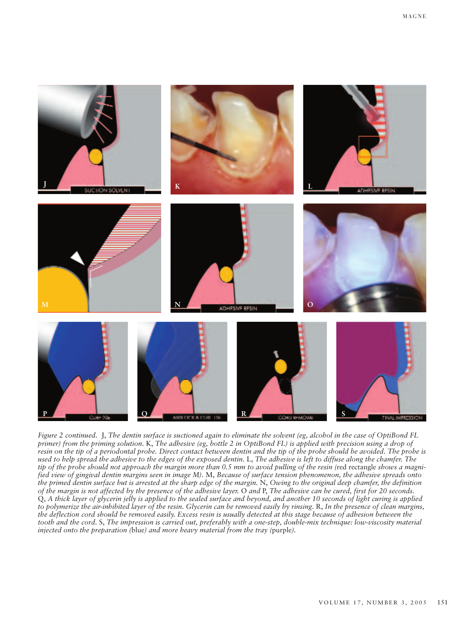

*Figure 2 continued.* J, *The dentin surface is suctioned again to eliminate the solvent (eg, alcohol in the case of OptiBond FL primer) from the priming solution.* K, *The adhesive (eg, bottle 2 in OptiBond FL) is applied with precision using a drop of resin on the tip of a periodontal probe. Direct contact between dentin and the tip of the probe should be avoided. The probe is used to help spread the adhesive to the edges of the exposed dentin.* L, *The adhesive is left to diffuse along the chamfer. The tip of the probe should not approach the margin more than 0.5 mm to avoid pulling of the resin (*red rectangle *shows a magnified view of gingival dentin margins seen in image M).* M, *Because of surface tension phenomenon, the adhesive spreads onto the primed dentin surface but is arrested at the sharp edge of the margin.* N, *Owing to the original deep chamfer, the definition of the margin is not affected by the presence of the adhesive layer.* O *and* P, *The adhesive can be cured, first for 20 seconds.*  Q, *A thick layer of glycerin jelly is applied to the sealed surface and beyond, and another 10 seconds of light curing is applied to polymerize the air-inhibited layer of the resin. Glycerin can be removed easily by rinsing.* R, *In the presence of clean margins, the deflection cord should be removed easily. Excess resin is usually detected at this stage because of adhesion between the tooth and the cord.* S, *The impression is carried out, preferably with a one-step, double-mix technique: low-viscosity material injected onto the preparation (*blue*) and more heavy material from the tray (*purple*).*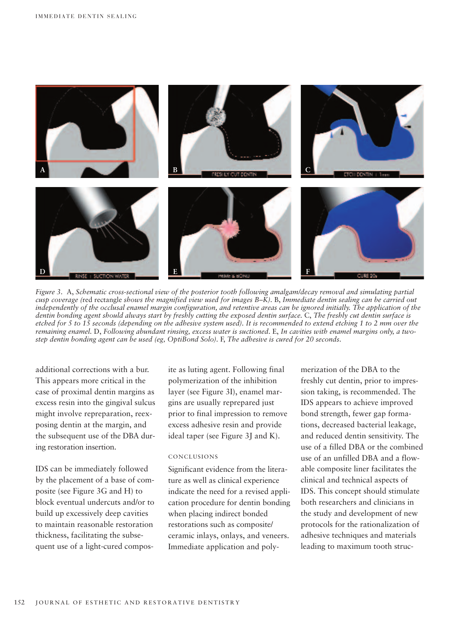

*Figure 3.* A, *Schematic cross-sectional view of the posterior tooth following amalgam/decay removal and simulating partial cusp coverage (*red rectangle *shows the magnified view used for images B–K).* B, *Immediate dentin sealing can be carried out independently of the occlusal enamel margin configuration, and retentive areas can be ignored initially. The application of the dentin bonding agent should always start by freshly cutting the exposed dentin surface.* C, *The freshly cut dentin surface is etched for 5 to 15 seconds (depending on the adhesive system used). It is recommended to extend etching 1 to 2 mm over the remaining enamel.* D, *Following abundant rinsing, excess water is suctioned*. E, *In cavities with enamel margins only, a twostep dentin bonding agent can be used (eg, OptiBond Solo).* F, *The adhesive is cured for 20 seconds*.

additional corrections with a bur. This appears more critical in the case of proximal dentin margins as excess resin into the gingival sulcus might involve repreparation, reexposing dentin at the margin, and the subsequent use of the DBA during restoration insertion.

IDS can be immediately followed by the placement of a base of composite (see Figure 3G and H) to block eventual undercuts and/or to build up excessively deep cavities to maintain reasonable restoration thickness, facilitating the subsequent use of a light-cured composite as luting agent. Following final polymerization of the inhibition layer (see Figure 3I), enamel margins are usually reprepared just prior to final impression to remove excess adhesive resin and provide ideal taper (see Figure 3J and K).

# CONCLUSIONS

Significant evidence from the literature as well as clinical experience indicate the need for a revised application procedure for dentin bonding when placing indirect bonded restorations such as composite/ ceramic inlays, onlays, and veneers. Immediate application and polymerization of the DBA to the freshly cut dentin, prior to impression taking, is recommended. The IDS appears to achieve improved bond strength, fewer gap formations, decreased bacterial leakage, and reduced dentin sensitivity. The use of a filled DBA or the combined use of an unfilled DBA and a flowable composite liner facilitates the clinical and technical aspects of IDS. This concept should stimulate both researchers and clinicians in the study and development of new protocols for the rationalization of adhesive techniques and materials leading to maximum tooth struc-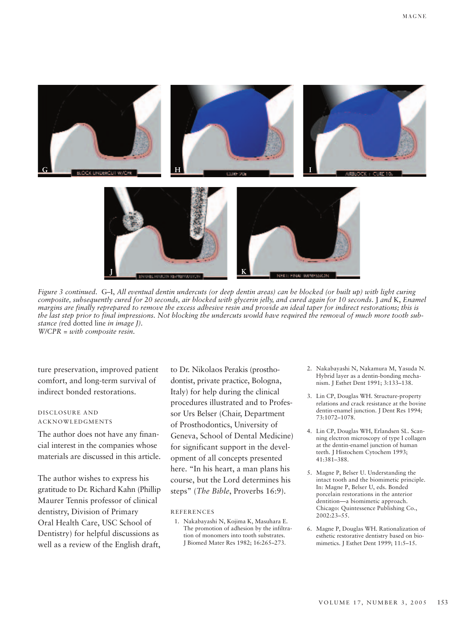

*Figure 3 continued.* G–I, *All eventual dentin undercuts (or deep dentin areas) can be blocked (or built up) with light curing composite, subsequently cured for 20 seconds, air blocked with glycerin jelly, and cured again for 10 seconds*. J *and* K, *Enamel margins are finally reprepared to remove the excess adhesive resin and provide an ideal taper for indirect restorations; this is the last step prior to final impressions. Not blocking the undercuts would have required the removal of much more tooth substance (*red dotted line *in image J). W/CPR = with composite resin.*

ture preservation, improved patient comfort, and long-term survival of indirect bonded restorations.

#### DISCLOSURE AND ACKNOWLEDGMENTS

The author does not have any financial interest in the companies whose materials are discussed in this article.

The author wishes to express his gratitude to Dr. Richard Kahn (Phillip Maurer Tennis professor of clinical dentistry, Division of Primary Oral Health Care, USC School of Dentistry) for helpful discussions as well as a review of the English draft,

to Dr. Nikolaos Perakis (prosthodontist, private practice, Bologna, Italy) for help during the clinical procedures illustrated and to Professor Urs Belser (Chair, Department of Prosthodontics, University of Geneva, School of Dental Medicine) for significant support in the development of all concepts presented here. "In his heart, a man plans his course, but the Lord determines his steps" (*The Bible*, Proverbs 16:9).

#### **REFERENCES**

1. Nakabayashi N, Kojima K, Masuhara E. The promotion of adhesion by the infiltration of monomers into tooth substrates. J Biomed Mater Res 1982; 16:265–273.

- 2. Nakabayashi N, Nakamura M, Yasuda N. Hybrid layer as a dentin-bonding mechanism. J Esthet Dent 1991; 3:133–138.
- 3. Lin CP, Douglas WH. Structure-property relations and crack resistance at the bovine dentin-enamel junction. J Dent Res 1994; 73:1072–1078.
- 4. Lin CP, Douglas WH, Erlandsen SL. Scanning electron microscopy of type I collagen at the dentin-enamel junction of human teeth. J Histochem Cytochem 1993; 41:381–388.
- 5. Magne P, Belser U. Understanding the intact tooth and the biomimetic principle. In: Magne P, Belser U, eds. Bonded porcelain restorations in the anterior dentition—a biomimetic approach. Chicago: Quintessence Publishing Co.,  $2002:23-55.$
- 6. Magne P, Douglas WH. Rationalization of esthetic restorative dentistry based on biomimetics. J Esthet Dent 1999; 11:5–15.